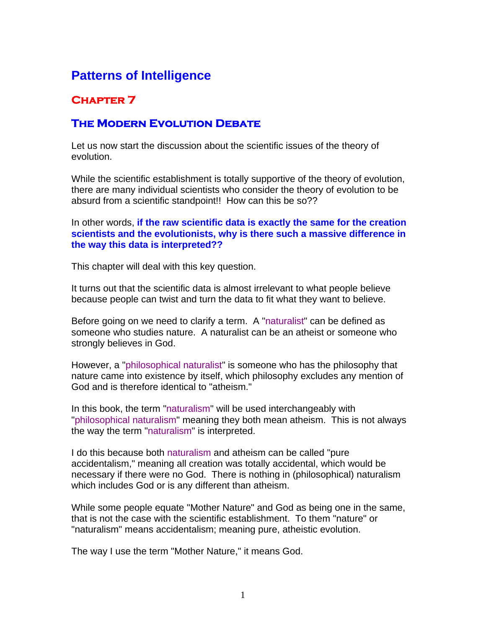# **Patterns of Intelligence**

## **Chapter 7**

### **The Modern Evolution Debate**

Let us now start the discussion about the scientific issues of the theory of evolution.

While the scientific establishment is totally supportive of the theory of evolution, there are many individual scientists who consider the theory of evolution to be absurd from a scientific standpoint!! How can this be so??

In other words, **if the raw scientific data is exactly the same for the creation scientists and the evolutionists, why is there such a massive difference in the way this data is interpreted??**

This chapter will deal with this key question.

It turns out that the scientific data is almost irrelevant to what people believe because people can twist and turn the data to fit what they want to believe.

Before going on we need to clarify a term. A "naturalist" can be defined as someone who studies nature. A naturalist can be an atheist or someone who strongly believes in God.

However, a "philosophical naturalist" is someone who has the philosophy that nature came into existence by itself, which philosophy excludes any mention of God and is therefore identical to "atheism."

In this book, the term "naturalism" will be used interchangeably with "philosophical naturalism" meaning they both mean atheism. This is not always the way the term "naturalism" is interpreted.

I do this because both naturalism and atheism can be called "pure accidentalism," meaning all creation was totally accidental, which would be necessary if there were no God. There is nothing in (philosophical) naturalism which includes God or is any different than atheism.

While some people equate "Mother Nature" and God as being one in the same, that is not the case with the scientific establishment. To them "nature" or "naturalism" means accidentalism; meaning pure, atheistic evolution.

The way I use the term "Mother Nature," it means God.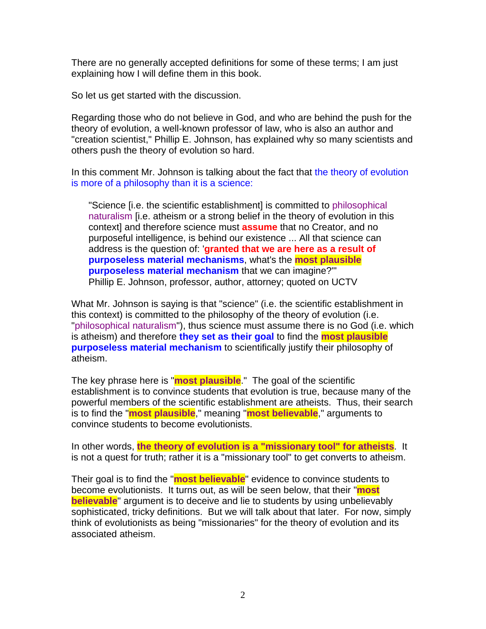There are no generally accepted definitions for some of these terms; I am just explaining how I will define them in this book.

So let us get started with the discussion.

Regarding those who do not believe in God, and who are behind the push for the theory of evolution, a well-known professor of law, who is also an author and "creation scientist," Phillip E. Johnson, has explained why so many scientists and others push the theory of evolution so hard.

In this comment Mr. Johnson is talking about the fact that the theory of evolution is more of a philosophy than it is a science:

"Science [i.e. the scientific establishment] is committed to philosophical naturalism [i.e. atheism or a strong belief in the theory of evolution in this context] and therefore science must **assume** that no Creator, and no purposeful intelligence, is behind our existence ... All that science can address is the question of: '**granted that we are here as a result of purposeless material mechanisms**, what's the **most plausible purposeless material mechanism** that we can imagine?'" Phillip E. Johnson, professor, author, attorney; quoted on UCTV

What Mr. Johnson is saying is that "science" (i.e. the scientific establishment in this context) is committed to the philosophy of the theory of evolution (i.e. "philosophical naturalism"), thus science must assume there is no God (i.e. which is atheism) and therefore **they set as their goal** to find the **most plausible purposeless material mechanism** to scientifically justify their philosophy of atheism.

The key phrase here is "**most plausible**." The goal of the scientific establishment is to convince students that evolution is true, because many of the powerful members of the scientific establishment are atheists. Thus, their search is to find the "**most plausible**," meaning "**most believable**," arguments to convince students to become evolutionists.

In other words, **the theory of evolution is a "missionary tool" for atheists**. It is not a quest for truth; rather it is a "missionary tool" to get converts to atheism.

Their goal is to find the "**most believable**" evidence to convince students to become evolutionists. It turns out, as will be seen below, that their "**most believable**" argument is to deceive and lie to students by using unbelievably sophisticated, tricky definitions. But we will talk about that later. For now, simply think of evolutionists as being "missionaries" for the theory of evolution and its associated atheism.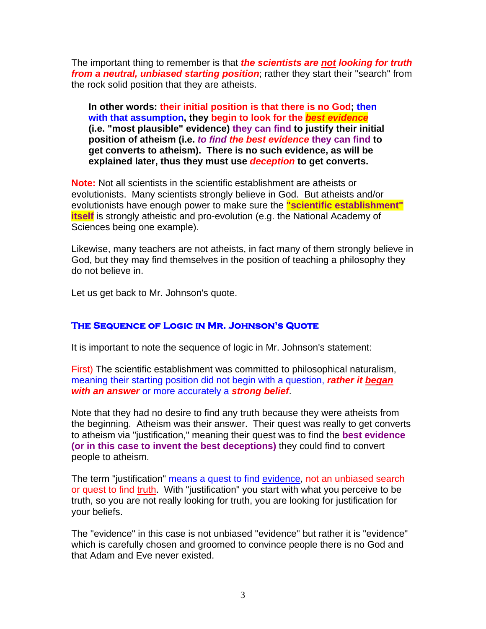The important thing to remember is that *the scientists are not looking for truth from a neutral, unbiased starting position*; rather they start their "search" from the rock solid position that they are atheists.

**In other words: their initial position is that there is no God; then with that assumption, they begin to look for the** *best evidence* **(i.e. "most plausible" evidence) they can find to justify their initial position of atheism (i.e.** *to find the best evidence* **they can find to get converts to atheism). There is no such evidence, as will be explained later, thus they must use** *deception* **to get converts.** 

**Note:** Not all scientists in the scientific establishment are atheists or evolutionists. Many scientists strongly believe in God. But atheists and/or evolutionists have enough power to make sure the **"scientific establishment" itself** is strongly atheistic and pro-evolution (e.g. the National Academy of Sciences being one example).

Likewise, many teachers are not atheists, in fact many of them strongly believe in God, but they may find themselves in the position of teaching a philosophy they do not believe in.

Let us get back to Mr. Johnson's quote.

### **The Sequence of Logic in Mr. Johnson's Quote**

It is important to note the sequence of logic in Mr. Johnson's statement:

First) The scientific establishment was committed to philosophical naturalism, meaning their starting position did not begin with a question, *rather it began with an answer* or more accurately a *strong belief*.

Note that they had no desire to find any truth because they were atheists from the beginning. Atheism was their answer. Their quest was really to get converts to atheism via "justification," meaning their quest was to find the **best evidence (or in this case to invent the best deceptions)** they could find to convert people to atheism.

The term "justification" means a quest to find evidence, not an unbiased search or quest to find truth. With "justification" you start with what you perceive to be truth, so you are not really looking for truth, you are looking for justification for your beliefs.

The "evidence" in this case is not unbiased "evidence" but rather it is "evidence" which is carefully chosen and groomed to convince people there is no God and that Adam and Eve never existed.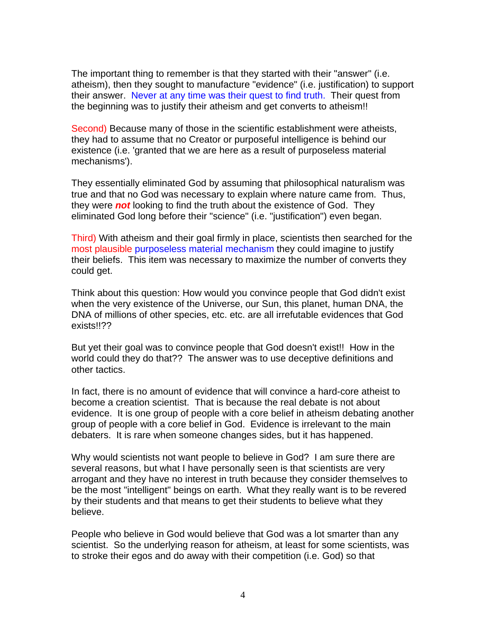The important thing to remember is that they started with their "answer" (i.e. atheism), then they sought to manufacture "evidence" (i.e. justification) to support their answer. Never at any time was their quest to find truth. Their quest from the beginning was to justify their atheism and get converts to atheism!!

Second) Because many of those in the scientific establishment were atheists, they had to assume that no Creator or purposeful intelligence is behind our existence (i.e. 'granted that we are here as a result of purposeless material mechanisms').

They essentially eliminated God by assuming that philosophical naturalism was true and that no God was necessary to explain where nature came from. Thus, they were *not* looking to find the truth about the existence of God. They eliminated God long before their "science" (i.e. "justification") even began.

Third) With atheism and their goal firmly in place, scientists then searched for the most plausible purposeless material mechanism they could imagine to justify their beliefs. This item was necessary to maximize the number of converts they could get.

Think about this question: How would you convince people that God didn't exist when the very existence of the Universe, our Sun, this planet, human DNA, the DNA of millions of other species, etc. etc. are all irrefutable evidences that God exists!!??

But yet their goal was to convince people that God doesn't exist!! How in the world could they do that?? The answer was to use deceptive definitions and other tactics.

In fact, there is no amount of evidence that will convince a hard-core atheist to become a creation scientist. That is because the real debate is not about evidence. It is one group of people with a core belief in atheism debating another group of people with a core belief in God. Evidence is irrelevant to the main debaters. It is rare when someone changes sides, but it has happened.

Why would scientists not want people to believe in God? I am sure there are several reasons, but what I have personally seen is that scientists are very arrogant and they have no interest in truth because they consider themselves to be the most "intelligent" beings on earth. What they really want is to be revered by their students and that means to get their students to believe what they believe.

People who believe in God would believe that God was a lot smarter than any scientist. So the underlying reason for atheism, at least for some scientists, was to stroke their egos and do away with their competition (i.e. God) so that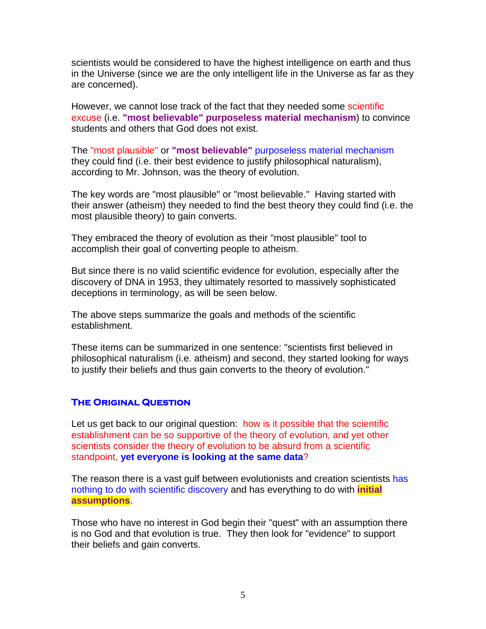scientists would be considered to have the highest intelligence on earth and thus in the Universe (since we are the only intelligent life in the Universe as far as they are concerned).

However, we cannot lose track of the fact that they needed some scientific excuse (i.e. **"most believable" purposeless material mechanism**) to convince students and others that God does not exist.

The "most plausible" or **"most believable"** purposeless material mechanism they could find (i.e. their best evidence to justify philosophical naturalism), according to Mr. Johnson, was the theory of evolution.

The key words are "most plausible" or "most believable." Having started with their answer (atheism) they needed to find the best theory they could find (i.e. the most plausible theory) to gain converts.

They embraced the theory of evolution as their "most plausible" tool to accomplish their goal of converting people to atheism.

But since there is no valid scientific evidence for evolution, especially after the discovery of DNA in 1953, they ultimately resorted to massively sophisticated deceptions in terminology, as will be seen below.

The above steps summarize the goals and methods of the scientific establishment.

These items can be summarized in one sentence: "scientists first believed in philosophical naturalism (i.e. atheism) and second, they started looking for ways to justify their beliefs and thus gain converts to the theory of evolution."

### **The Original Question**

Let us get back to our original question: how is it possible that the scientific establishment can be so supportive of the theory of evolution, and yet other scientists consider the theory of evolution to be absurd from a scientific standpoint, **yet everyone is looking at the same data**?

The reason there is a vast gulf between evolutionists and creation scientists has nothing to do with scientific discovery and has everything to do with **initial assumptions**.

Those who have no interest in God begin their "quest" with an assumption there is no God and that evolution is true. They then look for "evidence" to support their beliefs and gain converts.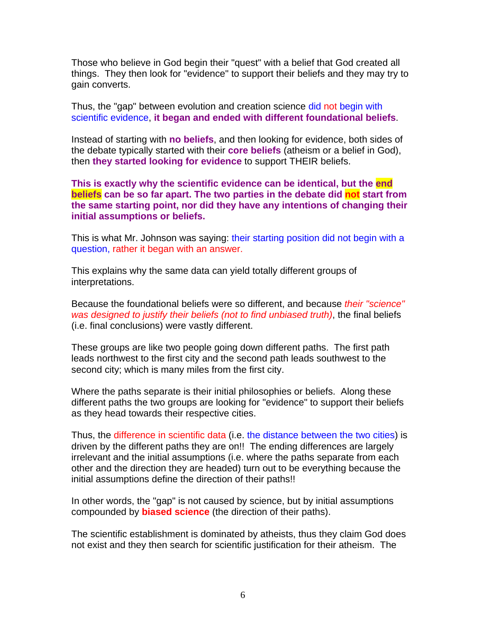Those who believe in God begin their "quest" with a belief that God created all things. They then look for "evidence" to support their beliefs and they may try to gain converts.

Thus, the "gap" between evolution and creation science did not begin with scientific evidence, **it began and ended with different foundational beliefs**.

Instead of starting with **no beliefs**, and then looking for evidence, both sides of the debate typically started with their **core beliefs** (atheism or a belief in God), then **they started looking for evidence** to support THEIR beliefs.

**This is exactly why the scientific evidence can be identical, but the end beliefs can be so far apart. The two parties in the debate did not start from the same starting point, nor did they have any intentions of changing their initial assumptions or beliefs.** 

This is what Mr. Johnson was saying: their starting position did not begin with a question, rather it began with an answer.

This explains why the same data can yield totally different groups of interpretations.

Because the foundational beliefs were so different, and because *their "science" was designed to justify their beliefs (not to find unbiased truth)*, the final beliefs (i.e. final conclusions) were vastly different.

These groups are like two people going down different paths. The first path leads northwest to the first city and the second path leads southwest to the second city; which is many miles from the first city.

Where the paths separate is their initial philosophies or beliefs. Along these different paths the two groups are looking for "evidence" to support their beliefs as they head towards their respective cities.

Thus, the difference in scientific data (i.e. the distance between the two cities) is driven by the different paths they are on!! The ending differences are largely irrelevant and the initial assumptions (i.e. where the paths separate from each other and the direction they are headed) turn out to be everything because the initial assumptions define the direction of their paths!!

In other words, the "gap" is not caused by science, but by initial assumptions compounded by **biased science** (the direction of their paths).

The scientific establishment is dominated by atheists, thus they claim God does not exist and they then search for scientific justification for their atheism. The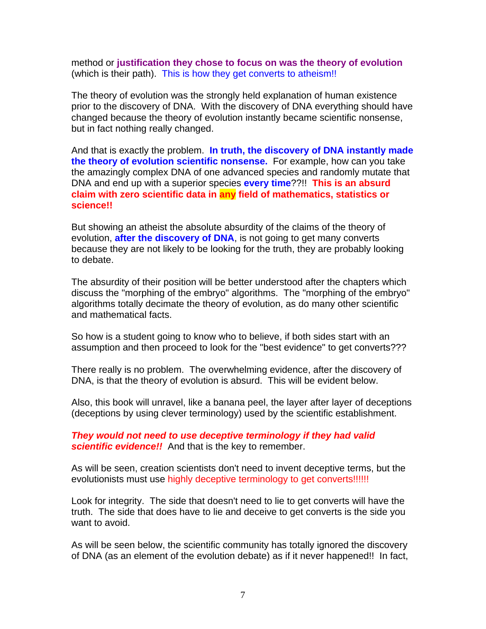method or **justification they chose to focus on was the theory of evolution** (which is their path). This is how they get converts to atheism!!

The theory of evolution was the strongly held explanation of human existence prior to the discovery of DNA. With the discovery of DNA everything should have changed because the theory of evolution instantly became scientific nonsense, but in fact nothing really changed.

And that is exactly the problem. **In truth, the discovery of DNA instantly made the theory of evolution scientific nonsense.** For example, how can you take the amazingly complex DNA of one advanced species and randomly mutate that DNA and end up with a superior species **every time**??!! **This is an absurd claim with zero scientific data in any field of mathematics, statistics or science!!**

But showing an atheist the absolute absurdity of the claims of the theory of evolution, **after the discovery of DNA**, is not going to get many converts because they are not likely to be looking for the truth, they are probably looking to debate.

The absurdity of their position will be better understood after the chapters which discuss the "morphing of the embryo" algorithms. The "morphing of the embryo" algorithms totally decimate the theory of evolution, as do many other scientific and mathematical facts.

So how is a student going to know who to believe, if both sides start with an assumption and then proceed to look for the "best evidence" to get converts???

There really is no problem. The overwhelming evidence, after the discovery of DNA, is that the theory of evolution is absurd. This will be evident below.

Also, this book will unravel, like a banana peel, the layer after layer of deceptions (deceptions by using clever terminology) used by the scientific establishment.

*They would not need to use deceptive terminology if they had valid*  **scientific evidence!!** And that is the key to remember.

As will be seen, creation scientists don't need to invent deceptive terms, but the evolutionists must use highly deceptive terminology to get converts!!!!!!

Look for integrity. The side that doesn't need to lie to get converts will have the truth. The side that does have to lie and deceive to get converts is the side you want to avoid.

As will be seen below, the scientific community has totally ignored the discovery of DNA (as an element of the evolution debate) as if it never happened!! In fact,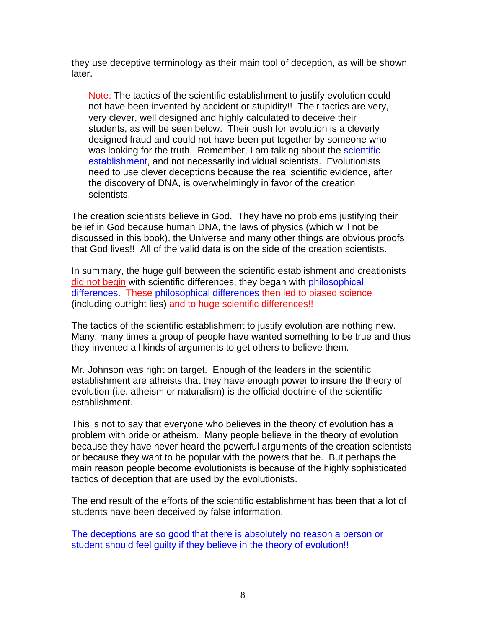they use deceptive terminology as their main tool of deception, as will be shown later.

Note: The tactics of the scientific establishment to justify evolution could not have been invented by accident or stupidity!! Their tactics are very, very clever, well designed and highly calculated to deceive their students, as will be seen below. Their push for evolution is a cleverly designed fraud and could not have been put together by someone who was looking for the truth. Remember, I am talking about the scientific establishment, and not necessarily individual scientists. Evolutionists need to use clever deceptions because the real scientific evidence, after the discovery of DNA, is overwhelmingly in favor of the creation scientists.

The creation scientists believe in God. They have no problems justifying their belief in God because human DNA, the laws of physics (which will not be discussed in this book), the Universe and many other things are obvious proofs that God lives!! All of the valid data is on the side of the creation scientists.

In summary, the huge gulf between the scientific establishment and creationists did not begin with scientific differences, they began with philosophical differences. These philosophical differences then led to biased science (including outright lies) and to huge scientific differences!!

The tactics of the scientific establishment to justify evolution are nothing new. Many, many times a group of people have wanted something to be true and thus they invented all kinds of arguments to get others to believe them.

Mr. Johnson was right on target. Enough of the leaders in the scientific establishment are atheists that they have enough power to insure the theory of evolution (i.e. atheism or naturalism) is the official doctrine of the scientific establishment.

This is not to say that everyone who believes in the theory of evolution has a problem with pride or atheism. Many people believe in the theory of evolution because they have never heard the powerful arguments of the creation scientists or because they want to be popular with the powers that be. But perhaps the main reason people become evolutionists is because of the highly sophisticated tactics of deception that are used by the evolutionists.

The end result of the efforts of the scientific establishment has been that a lot of students have been deceived by false information.

The deceptions are so good that there is absolutely no reason a person or student should feel guilty if they believe in the theory of evolution!!